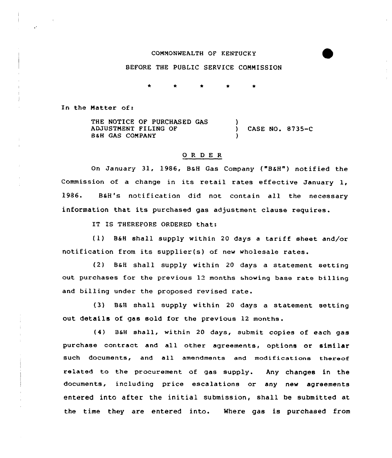## COMMONWEALTH OF KENTUCKY

## BEFORE THE PUBLIC SERVICE COMMISSION

In the Matter of:

THE NOTICE OF PURCHASED GAS ADJUSTMENT FILING OF B&H GAS COMPANY ) ) CASE NO. 8735-C )

## 0 R <sup>D</sup> E <sup>R</sup>

On January 31, 1986, BaH Gas Company ("B6H") notified the Commission of <sup>a</sup> change in its retail rates effective January 1, 1986. B&H's notification did not contain all the necessary information that its purchased gas adjustment clause requires.

IT IS THEREFORE ORDERED that:

 $(1)$  B&H shall supply within 20 days a tariff sheet and/or notification from its supplier(s) of new wholesale rates.

(2) BaH shall supply within 20 days a statement setting out purchases for the previous 12 months showing base rate billing and billing under the proposed revised rate.

(3) BaH shall supply within 20 days a statement setting out details of gas sold for the previous 12 months.

{4) BaH shall, within 20 days, submit copies of each gas purchase contract and all other agreements, options or similar such documents, and all amendments and modifications thereof related to the procurement of gas supply. Any changes in the documents, including price escalations or any new agreements entered into after the initial submission, shall be submitted at the time they are entered into. Where gas is purchased from